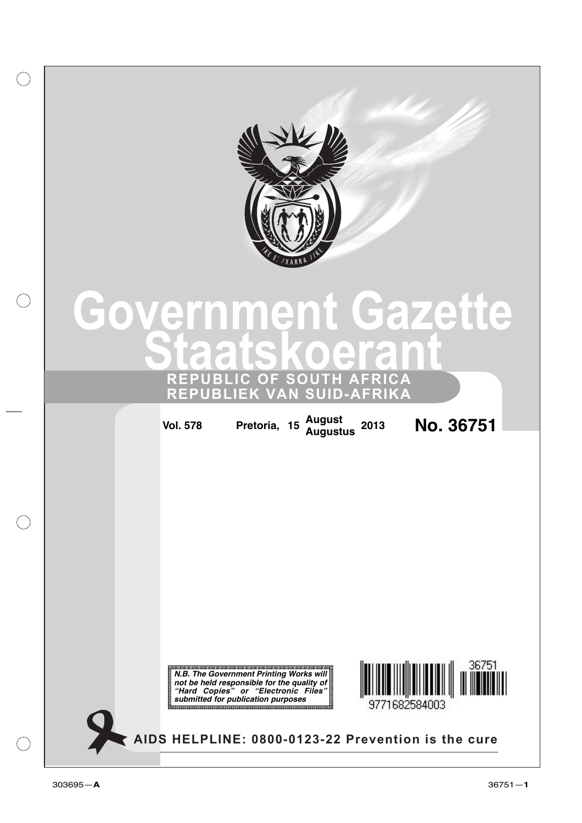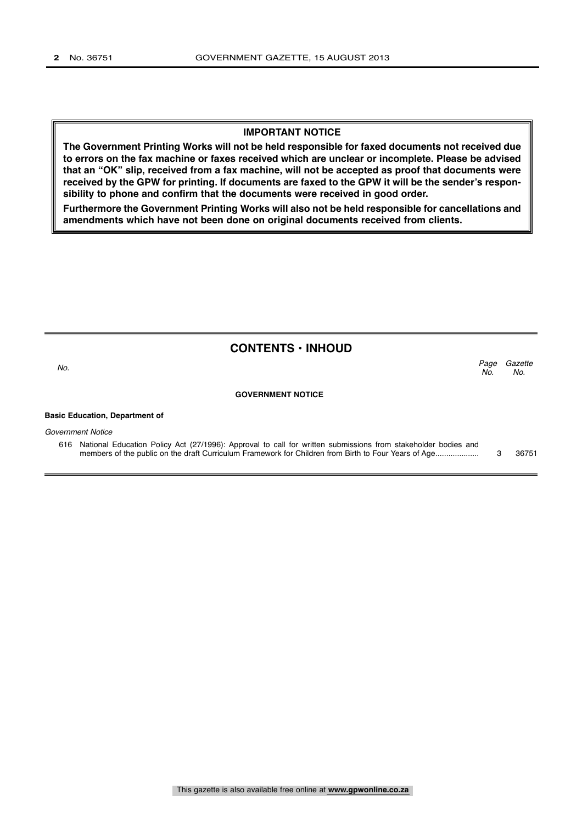### **IMPORTANT NOTICE**

**The Government Printing Works will not be held responsible for faxed documents not received due to errors on the fax machine or faxes received which are unclear or incomplete. Please be advised that an "OK" slip, received from a fax machine, will not be accepted as proof that documents were received by the GPW for printing. If documents are faxed to the GPW it will be the sender's responsibility to phone and confirm that the documents were received in good order.**

**Furthermore the Government Printing Works will also not be held responsible for cancellations and amendments which have not been done on original documents received from clients.**

### **CONTENTS • INHOUD**

Gazette  $N<sub>0</sub>$ Page No.<br>No.

### **GOVERNMENT NOTICE**

#### **Basic Education, Department of**

Government Notice

616 National Education Policy Act (27/1996): Approval to call for written submissions from stakeholder bodies and members of the public on the draft Curriculum Framework for Children from Birth to Four Years of Age.................... 3 36751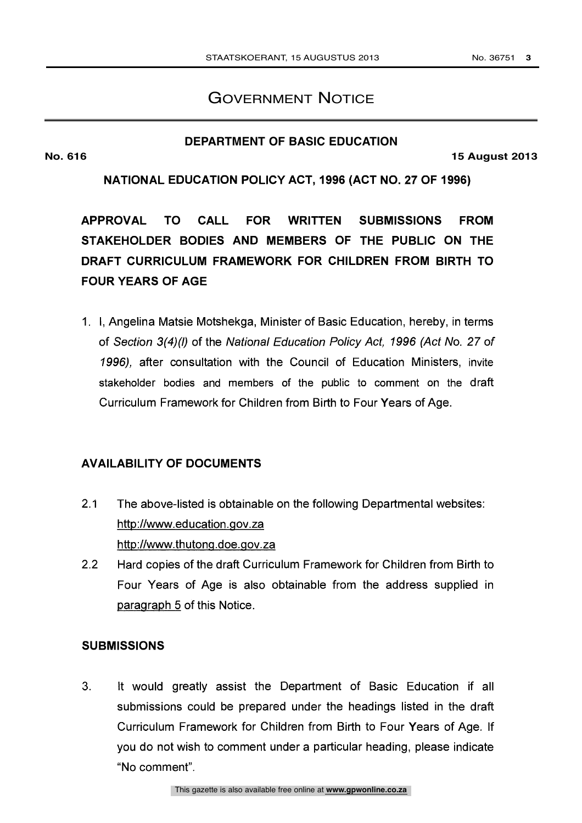# GOVERNMENT NOTICE

# **DEPARTMENT OF BASIC EDUCATION**

**No. 616 15 August 2013**

# NATIONAL EDUCATION POLICY ACT, 1996 (ACT NO. 27 OF 1996)

APPROVAL TO CALL FOR WRITTEN SUBMISSIONS FROM STAKEHOLDER BODIES AND MEMBERS OF THE PUBLIC ON THE DRAFT CURRICULUM FRAMEWORK FOR CHILDREN FROM BIRTH TO FOUR YEARS OF AGE

1. I, Angelina Matsie Motshekga, Minister of Basic Education, hereby, in terms of Section 3(4)(I) of the National Education Policy Act, 1996 (Act No. 27 of 1996), after consultation with the Council of Education Ministers, invite stakeholder bodies and members of the public to comment on the draft Curriculum Framework for Children from Birth to Four Years of Age.

# AVAILABILITY OF DOCUMENTS

- 2.1 The above-listed is obtainable on the following Departmental websites: http://www.education.gov.za http://www.thutong.doe.gov.za
- 2.2 Hard copies of the draft Curriculum Framework for Children from Birth to Four Years of Age is also obtainable from the address supplied in paragraph 5 of this Notice.

# SUBMISSIONS

3. It would greatly assist the Department of Basic Education if all submissions could be prepared under the headings listed in the draft Curriculum Framework for Children from Birth to Four Years of Age. If you do not wish to comment under a particular heading, please indicate "No comment".